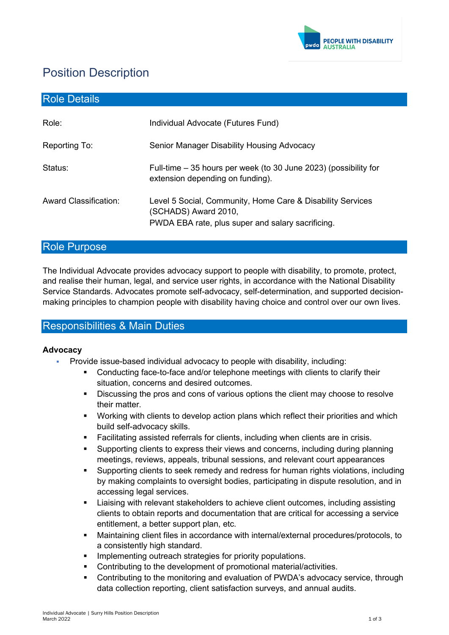

# Position Description

| <b>Role Details</b>   |                                                                                                                                         |
|-----------------------|-----------------------------------------------------------------------------------------------------------------------------------------|
| Role:                 | Individual Advocate (Futures Fund)                                                                                                      |
| Reporting To:         | Senior Manager Disability Housing Advocacy                                                                                              |
| Status:               | Full-time – 35 hours per week (to 30 June 2023) (possibility for<br>extension depending on funding).                                    |
| Award Classification: | Level 5 Social, Community, Home Care & Disability Services<br>(SCHADS) Award 2010,<br>PWDA EBA rate, plus super and salary sacrificing. |

# Role Purpose

The Individual Advocate provides advocacy support to people with disability, to promote, protect, and realise their human, legal, and service user rights, in accordance with the National Disability Service Standards. Advocates promote self-advocacy, self-determination, and supported decisionmaking principles to champion people with disability having choice and control over our own lives.

# Responsibilities & Main Duties

#### **Advocacy**

- Provide issue-based individual advocacy to people with disability, including:
	- Conducting face-to-face and/or telephone meetings with clients to clarify their situation, concerns and desired outcomes.
	- Discussing the pros and cons of various options the client may choose to resolve their matter.
	- Working with clients to develop action plans which reflect their priorities and which build self-advocacy skills.
	- Facilitating assisted referrals for clients, including when clients are in crisis.
	- Supporting clients to express their views and concerns, including during planning meetings, reviews, appeals, tribunal sessions, and relevant court appearances
	- Supporting clients to seek remedy and redress for human rights violations, including by making complaints to oversight bodies, participating in dispute resolution, and in accessing legal services.
	- Liaising with relevant stakeholders to achieve client outcomes, including assisting clients to obtain reports and documentation that are critical for accessing a service entitlement, a better support plan, etc.
	- Maintaining client files in accordance with internal/external procedures/protocols, to a consistently high standard.
	- Implementing outreach strategies for priority populations.
	- Contributing to the development of promotional material/activities.
	- Contributing to the monitoring and evaluation of PWDA's advocacy service, through data collection reporting, client satisfaction surveys, and annual audits.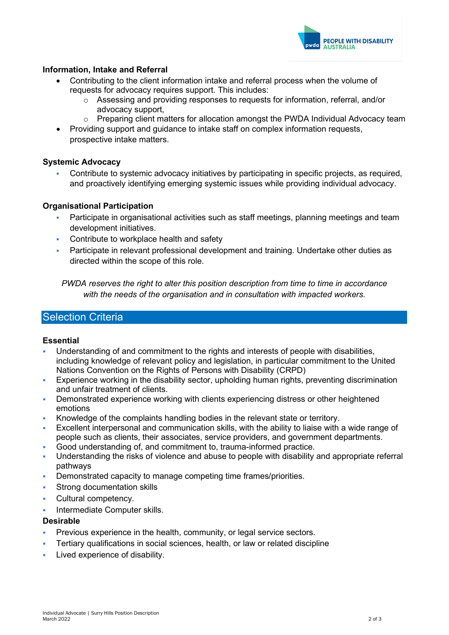

#### **Information, Intake and Referral**

- Contributing to the client information intake and referral process when the volume of requests for advocacy requires support. This includes:
	- $\circ$  Assessing and providing responses to requests for information, referral, and/or advocacy support,
	- $\circ$  Preparing client matters for allocation amongst the PWDA Individual Advocacy team
- Providing support and guidance to intake staff on complex information requests, prospective intake matters.

#### **Systemic Advocacy**

 Contribute to systemic advocacy initiatives by participating in specific projects, as required, and proactively identifying emerging systemic issues while providing individual advocacy.

#### **Organisational Participation**

- Participate in organisational activities such as staff meetings, planning meetings and team development initiatives.
- Contribute to workplace health and safety
- Participate in relevant professional development and training. Undertake other duties as directed within the scope of this role.

*PWDA reserves the right to alter this position description from time to time in accordance with the needs of the organisation and in consultation with impacted workers.*

## **Selection Criteria**

#### **Essential**

- Understanding of and commitment to the rights and interests of people with disabilities, including knowledge of relevant policy and legislation, in particular commitment to the United Nations Convention on the Rights of Persons with Disability (CRPD)
- Experience working in the disability sector, upholding human rights, preventing discrimination and unfair treatment of clients.
- Demonstrated experience working with clients experiencing distress or other heightened emotions
- Knowledge of the complaints handling bodies in the relevant state or territory.
- Excellent interpersonal and communication skills, with the ability to liaise with a wide range of people such as clients, their associates, service providers, and government departments.
- Good understanding of, and commitment to, trauma-informed practice.
- Understanding the risks of violence and abuse to people with disability and appropriate referral pathways
- Demonstrated capacity to manage competing time frames/priorities.
- **Strong documentation skills**
- Cultural competency.
- Intermediate Computer skills.

#### **Desirable**

- Previous experience in the health, community, or legal service sectors.
- Tertiary qualifications in social sciences, health, or law or related discipline
- Lived experience of disability.